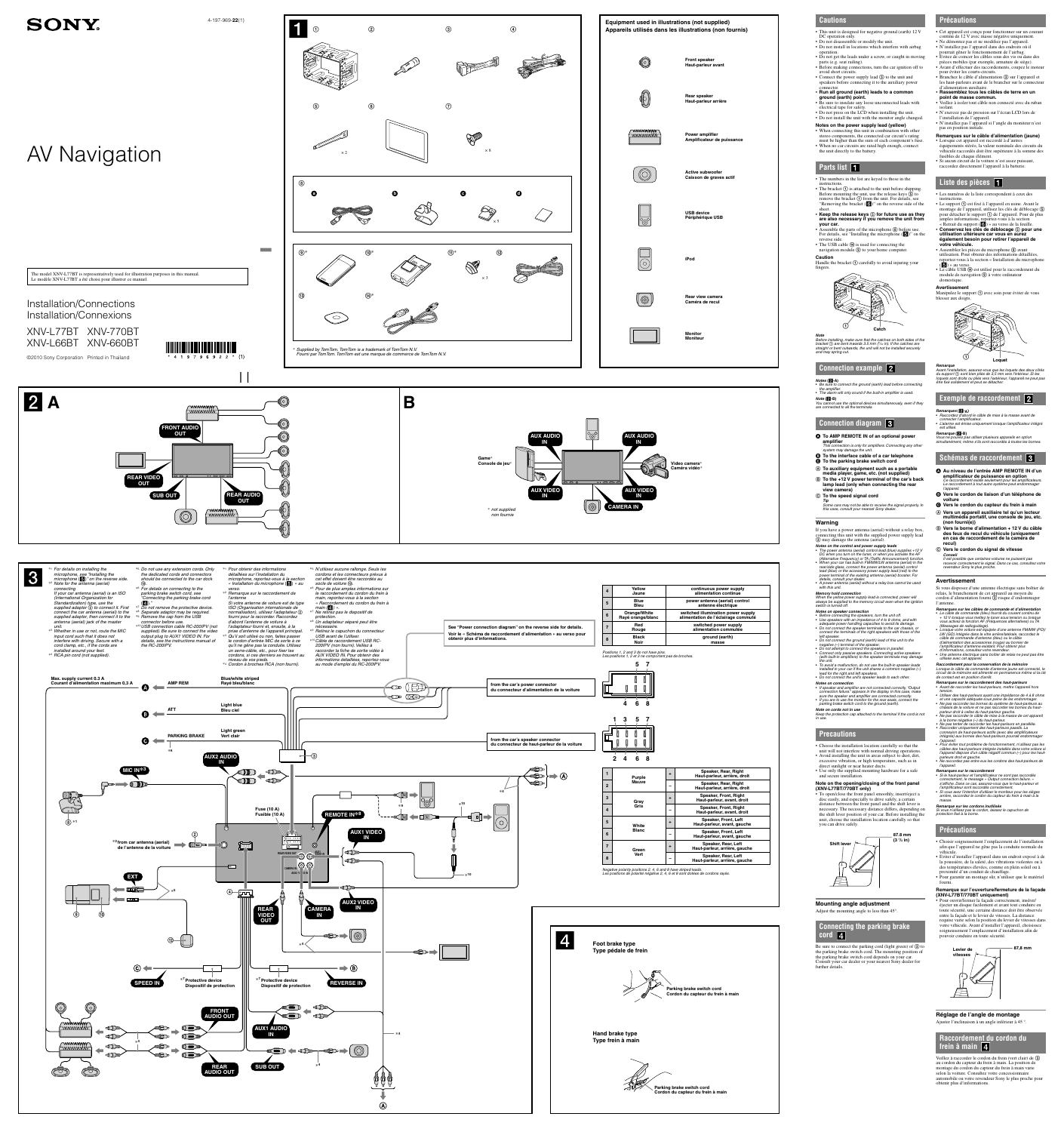#### **Cautions** • This unit is designed for negative ground (earth) 12 V DC operation only. • Do not disassemble or modify the unit. • Do not install in locations which interfere with airbag operation.

• Connect the power supply lead  $\circled{3}$  to the unit and speakers before connecting it to the auxiliary power

• Do not get the leads under a screw, or caught in moving parts (e.g. seat railing). • Before making connections, turn the car ignition off to avoid short circuits.

connector. • **Run all ground (earth) leads to a common ground (earth) point.**

navigation module  $\circledcirc$  to your home computer. **Caution**

Handle the bracket  $\odot$  carefully to avoid injuring your  $(\mathbf{\hat{G}})$  » au verso. • Le câble USB (4) est utilisé pour le raccordement du

• When no car circuits are rated high enough, connect

Note<br>Before installing, make sure that the catches on both sides of the<br>bracket ① are bent inwards 3.5 mm (<sup>5</sup>/2e in). If the catches are<br>straight or bent outwards, the unit will not be installed securely and may spring out.

the unit directly to the battery.

**Parts list** 1

**instructions** 

• The numbers in the list are keyed to those in the

• The alarm will only sound if the built-in amplifier is used. **Note (-B)** You cannot use the optional devices simultaneously, even if they are connected to all the terminals.

If you have a power antenna (aerial) without a relay box, connecting this unit with the supplied power supply lead (3) may damage the antenna (aerial).

fingers.

**Catch**

# **Connection example**

**Notes (-A)** • Be sure to connect the ground (earth) lead before connecting the amplifier.

(with built-in amplifiers) to the speaker terminals may damage the unit. • To avoid a malfunction, do not use the built-in speaker leads utilisée avec cet appareil. **Raccordement pour la conservation de la mémoire**<br>Lorsque le câble de commande d'antenne jaune est connecté, le<br>circuit de la mémoire est alimenté en permanence même si la clé

**Connection diagram** 

# **To AMP REMOTE IN of an optional power**

**amplifier** This connection is only for amplifiers. Connecting any other system may damage the unit.

- **To the interface cable of a car telephone**
- **To the parking brake switch cord**
- **To auxiliary equipment such as a portable media player, game, etc. (not supplied)**
- **To the +12 V power terminal of the car's back lamp lead (only when connecting the rear**

**view camera) To the speed signal cord**

**Tip** Some cars may not be able to receive the signal properly. In this case, consult your nearest Sony dealer.

#### **Warning**

switch is turned off. **Notes on speaker conne** 

Be sure to connect the parking cord (light green) of  $\circled{3}$  to the parking brake switch cord. The mounting position of the parking brake switch cord depends on your car. Consult your car dealer or your nearest Sony dealer for further details.



rear/side glass, connect the power antenna (aerial) control

lead (blue) or the accessory power supply lead (red) to the power terminal of the existing antenna (aerial) booster. For details, consult your dealer. • A power antenna (aerial) without a relay box cannot be used with this unit.

• Before connecting the speakers, turn the unit off. • Use speakers with an impedance of 4 to 8 ohms, and with adequate power handling capacities to avoid its damage. • Do not connect the speaker terminals to the car chassis, or connect the terminals of the right speakers with those of the left speaker. • Do not connect the ground (earth) lead of this unit to the

• If speaker and amplifier are not connected correctly, "Output<br>connection failure." appears in the display. In this case, make<br>sure the speaker and amplifier are connected correctly.<br>• If you are to use the monitor for th

negative (–) terminal of the speaker. • Do not attempt to connect the speakers in parallel. • Connect only passive speakers. Connecting active speakers

**Notes on connection**

• Branchez le câble d'alimentation ③ sur l'appareil et les haut-parleurs avant de le brancher sur le connecteur

parking brake switch cord to the ground (earth).

**Note on cords not in use**

Keep the protection cap attached to the terminal if the cord is not in use.

• Be sure to insulate any loose unconnected leads with electrical tape for safety. • Do not press on the LCD when installing the unit. • Do not install the unit with the monitor angle changed. • Veillez à isoler tout câble non connecté avec du ruban • N'exercez pas de pression sur l'écran LCD lors de

**Precautions**

• The bracket  $\Theta$  is attached to the unit before shipping. Before mounting the unit, use the release keys  $\overline{6}$  to remove the bracket  $\Theta$  from the unit. For details, see "Removing the bracket  $\left(\begin{array}{c} \bullet \\ \bullet \end{array}\right)$ " on the reverse side of the • Les numéros de la liste correspondent à ceux des instructions. • Le support  $\odot$  est fixé à l'appareil en usine. Avant le montage de l'appareil, utilisez les clés de déblocage

sheet.<br>• Keep the release keys **⑤ for future use as they**<br>are also necessary if you remove the unit from **your car.**<br>
• Assemble the parts of the microphone **⑧** before use. pour détacher le support  $\Theta$  de l'appareil. Pour de plus amples informations, reportez-vous à la section « Retrait du support  $($  6  $)$  » au verso de la feuille. • **Conservez les clés de déblocage pour une** 

For details, see "Installing the microphone  $(\bullet)$ " on the reverse side. • The USB cable  $\omega$  is used for connecting the

**Notes on the power supply lead (yellow)** • When connecting this unit in combination with other stereo components, the connected car circuit's rating must be higher than the sum of each component's fuse. l'installation de l'appareil. • N'installez pas l'appareil si l'angle du moniteur n'est pas en position initiale. **Remarques sur le câble d'alimentation (jaune)**

excessive vibration, or high temperature, such as in direct sunlight or near heater ducts. • Use only the supplied mounting hardware for a safe and secure installation.

• Assemblez les pièces du microphone <sup>(8)</sup> avant utilisation. Pour obtenir des informations détaillées, reportez-vous à la section « Installation du microphone

module de navigation  $\circledA$  à votre ordinateur

Manipulez le support  $\odot$  avec soin pour éviter de vous

**87.8 mm**



# **Mounting angle adjustment**

Adjust the mounting angle to less than 45°.

#### **Connecting the parking brake cord**



**SONY** 

4-197-969-**22**(1)

Installation/Connections Installation/Connexions



XNV-L77BT XNV-770BT XNV-L66BT XNV-660BT

©2010 Sony Corporation Printed in Thailand

tension. • Utiliser des haut-parleurs ayant une impédance de 4 à 8 ohms et une capacité adéquate sous peine de les endommager. • Ne pas raccorder les bornes du système de haut-parleurs au châssis de la voiture et ne pas raccorder les bornes du hautparleur droit à celles du haut-parleur gauche. • Ne pas raccorder le câble de mise à la masse de cet appareil à la borne négative (–) du haut-parleur. • Ne pas tenter de raccorder les haut-parleurs en parallèle. • Raccorder uniquement des haut-parleurs passifs. La connexion de haut-parleurs actifs (avec des amplificateurs intégrés) aux bornes des haut-parleurs pourrait endommage

**Memory hold connection** When the yellow power supply lead is connected, power will always be supplied to the memory circuit even when the ignition Si vous disposez d'une antenne électrique sans boîtier de relais, le branchement de cet appareil au moyen du cordon d'alimentation fourni  $\widehat{Q}$  risque d'endommager l'antenne.

**Précautions**

installed in your car if the unit shares a common negative (–) lead for the right and left speakers. • Do not connect the unit's speaker leads to each other. de contact est en position d'arrêt. **Remarques sur le raccordement des haut-parleurs**

• Cet appareil est conçu pour fonctionner sur un courant continu de 12 V avec masse négative uniquement. • Ne démontez pas et ne modifiez pas l'appareil. • N'installez pas l'appareil dans des endroits où il pourrait gêner le fonctionnement de l'airbag. • Evitez de coincer les câbles sous des vis ou dans des pièces mobiles (par exemple, armature de siège). • Avant d'effectuer des raccordements, coupez le moteur

pour éviter les courts-circuits.

d'alimentation auxiliaire.

• **Rassemblez tous les câbles de terre en un** 

**point de masse commun.**

isolant.

• Choose the installation location carefully so that the unit will not interfere with normal driving operations. • Avoid installing the unit in areas subject to dust, dirt, l'appareil.<br>• Pour éviter tout problème de fonctionnement, n'utilisez pas les<br>câbles des haut-parleurs intégrés installés dans votre voiture si<br>l'appareil dispose d'un câble négatif commun (–) pour les haut-<br>parleurs droit • Ne raccordez pas entre eux les cordons des haut-parleurs de l'appareil.

• Lorsque cet appareil est raccordé à d'autres équipements stéréo, la valeur nominale des circuits du véhicule raccordés doit être supérieure à la somme des fusibles de chaque élément. • Si aucun circuit de la voiture n'est assez puissant, raccordez directement l'appareil à la batterie.

# **Liste des pièces**

#### **Note on the opening/closing of the front panel Remarques sur le raccordement**<br>• Si le haut-parleur et l'amplificateur ne sont pas raccordés<br>• Correctement, le message « Output connection failure. »<br>• s'affiche. Dans ce cas, assurez-vous que le haut-parleur et l'amplificateur sont raccordés correctement. • Si vous avez l'intention d'utiliser le moniteur pour les sièges

**(XNV-L77BT/770BT only)** • To open/close the front panel smoothly, insert/eject a disc easily, and especially to drive safely, a certain distance between the front panel and the shift lever is necessary. The necessary distance differs, depending on the shift lever position of your car. Before installing the unit, choose the installation location carefully so that you can drive safely. **Remarque sur les cordons inutilisés** Si vous n'utilisez pas le cordon, laissez le capuchon de protection fixé à la borne.

**utilisation ultérieure car vous en aurez également besoin pour retirer l'appareil de** 

**votre véhicule.**

domestique. **Avertissement**

blesser aux doigts.

 **Loquet Remarque** Avant l'installation, assurez-vous que les loquets des deux côtés du support sont bien pliés de 3,5 mm vers l'intérieur. Si les loquets sont droits ou pliés vers l'extérieur, l'appareil ne peut pas être fixé solidement et peut se détacher.

**Exemple de raccordement** 

**Remarques (-A)** • Raccordez d'abord le câble de mise à la masse avant de connecter l'amplificateur.

• L'alarme est émise uniquement lorsque l'amplificateur intégré est utilise **Remarque (-B)** Vous ne pouvez pas utiliser plusieurs appareils en option simultanément, même s'ils sont raccordés à toutes les bornes.

## **Schémas de raccordement**

**Au niveau de l'entrée AMP REMOTE IN d'un** 

**amplificateur de puissance en option**<br>Ce raccordement existe seulement pour les amplificateurs.<br>Le raccordement à tout autre système peut endommager<br>l'appareil.

 **Vers le cordon de liaison d'un téléphone de voiture**

| Equipment used in illustrations (not supplied)<br>Appareils utilisés dans les illustrations (non fournis) |                                                    |
|-----------------------------------------------------------------------------------------------------------|----------------------------------------------------|
|                                                                                                           |                                                    |
|                                                                                                           | Front speaker<br>Haut-parleur avant                |
|                                                                                                           |                                                    |
|                                                                                                           | Rear speaker<br>Haut-parleur arrière               |
|                                                                                                           |                                                    |
| wwwwww                                                                                                    | Power amplifier<br>Amplificateur de puissance      |
|                                                                                                           |                                                    |
|                                                                                                           | <b>Active subwoofer</b><br>Caisson de graves actif |
|                                                                                                           |                                                    |
|                                                                                                           | <b>USB device</b><br>Périphérique USB              |
|                                                                                                           |                                                    |
|                                                                                                           |                                                    |
|                                                                                                           | <b>iPod</b>                                        |
|                                                                                                           |                                                    |
|                                                                                                           | Rear view camera<br>Caméra de recul                |
|                                                                                                           |                                                    |
|                                                                                                           | <b>Monitor</b><br><b>Moniteur</b>                  |
|                                                                                                           |                                                    |

 **Vers le cordon du capteur du frein à main Vers un appareil auxiliaire tel qu'un lecteur multimédia portatif, une console de jeu, etc.** 

**(non fourni(e))**

 **Vers la borne d'alimentation + 12 V du câble des feux de recul du véhicule (uniquement en cas de raccordement de la caméra de** 

**Notes on the control and power supply leads**<br>• The power antenna (aerial) control lead (blue) supplies +12 V<br>DC when you turn on the tuner, or when you activate the AF<br>Alternative Frequency) or TA (Traffic Announcement) f

**recul) Vers le cordon du signal de vitesse**

**Conseil** Il est possible que certaines voitures ne puissent pas recevoir correctement le signal. Dans ce cas, consultez votre

revendeur Sony le plus proche.



**Avertissement**

**Remarques sur les câbles de commande et d'alimentation** • Le câble de commande (bleu) fournit du courant continu de + 12 V lorsque vous mettez le tuner sous tension ou lorsque vous activez la fonction AF (Fréquences alternatives) ou TA (Messages de radioguidage). • Lorsque votre voiture est équipée d'une antenne FM/MW (PO),<br>LW (GO) intégrée dans la vitre arrière/latérale, raccordez le<br>câble de commande d'antenne (bleu) ou le câble<br>d'alimentation des accessoires (rouge) au bornier d d'informations, consultez votre revendeur. • Une antenne électrique sans boîtier de relais ne peut pas être

• Avant de raccorder les haut-parleurs, mettre l'appareil hors

arrière, raccordez le cordon du capteur du frein à main à la

masse.

## **Précautions**

• Choisir soigneusement l'emplacement de l'installation afin que l'appareil ne gêne pas la conduite normale du véhicule. • Eviter d'installer l'appareil dans un endroit exposé à de

la poussière, de la saleté, des vibrations violentes ou à des températures élevées, comme en plein soleil ou à proximité d'un conduit de chauffage. • Pour garantir un montage sûr, n'utiliser que le matériel fourni.

#### **Remarque sur l'ouverture/fermeture de la façade (XNV-L77BT/770BT uniquement)**

• Pour ouvrir/fermer la façade correctement, insérer/ éjecter un disque facilement et avant tout conduire en toute sécurité, une certaine distance doit être observée entre la façade et le levier de vitesses. La distance requise varie selon la position du levier de vitesses dans votre véhicule. Avant d'installer l'appareil, choisissez soigneusement l'emplacement d'installation afin de pouvoir conduire en toute sécurité.

Levier de  $\sqrt{1}$  87,8 mm





**Réglage de l'angle de montage** Ajuster l'inclinaison à un angle inférieur à 45 °.

#### **Raccordement du cordon du frein à main**

Veillez à raccorder le cordon du frein (vert clair) de au cordon du capteur du frein à main. La position de montage du cordon du capteur du frein à main varie selon la voiture. Consultez votre concessionnaire automobile ou votre revendeur Sony le plus proche pour obtenir plus d'informations.

The model XNV-L77BT is representatively used for illustration purposes in this manual. Le modèle XNV-L77BT a été choisi pour illustrer ce manuel.